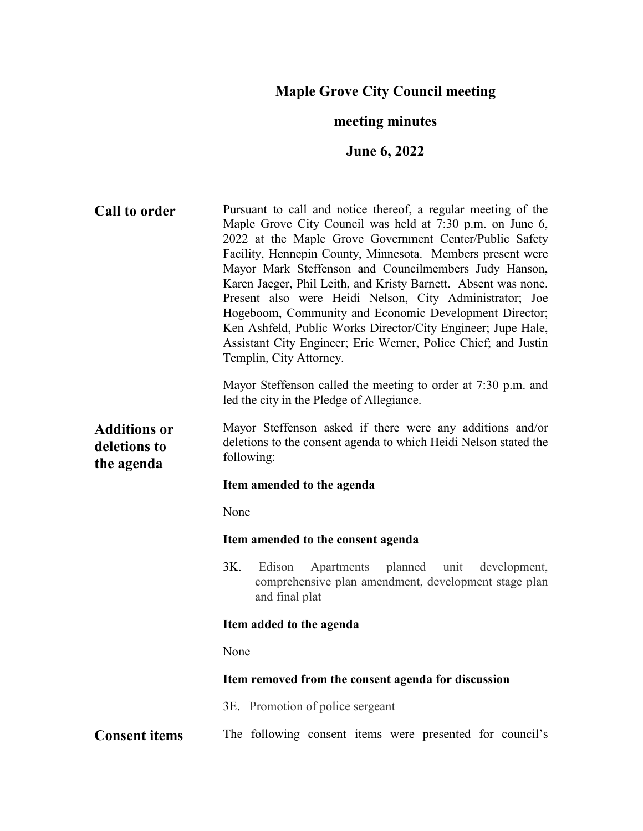# **Maple Grove City Council meeting**

## **meeting minutes**

## **June 6, 2022**

| <b>Call to order</b>                              | Pursuant to call and notice thereof, a regular meeting of the<br>Maple Grove City Council was held at 7:30 p.m. on June 6,<br>2022 at the Maple Grove Government Center/Public Safety<br>Facility, Hennepin County, Minnesota. Members present were<br>Mayor Mark Steffenson and Councilmembers Judy Hanson,<br>Karen Jaeger, Phil Leith, and Kristy Barnett. Absent was none.<br>Present also were Heidi Nelson, City Administrator; Joe<br>Hogeboom, Community and Economic Development Director;<br>Ken Ashfeld, Public Works Director/City Engineer; Jupe Hale,<br>Assistant City Engineer; Eric Werner, Police Chief; and Justin<br>Templin, City Attorney. |
|---------------------------------------------------|------------------------------------------------------------------------------------------------------------------------------------------------------------------------------------------------------------------------------------------------------------------------------------------------------------------------------------------------------------------------------------------------------------------------------------------------------------------------------------------------------------------------------------------------------------------------------------------------------------------------------------------------------------------|
|                                                   | Mayor Steffenson called the meeting to order at 7:30 p.m. and<br>led the city in the Pledge of Allegiance.                                                                                                                                                                                                                                                                                                                                                                                                                                                                                                                                                       |
| <b>Additions or</b><br>deletions to<br>the agenda | Mayor Steffenson asked if there were any additions and/or<br>deletions to the consent agenda to which Heidi Nelson stated the<br>following:                                                                                                                                                                                                                                                                                                                                                                                                                                                                                                                      |
|                                                   | Item amended to the agenda                                                                                                                                                                                                                                                                                                                                                                                                                                                                                                                                                                                                                                       |
|                                                   | None                                                                                                                                                                                                                                                                                                                                                                                                                                                                                                                                                                                                                                                             |
|                                                   |                                                                                                                                                                                                                                                                                                                                                                                                                                                                                                                                                                                                                                                                  |
|                                                   | Item amended to the consent agenda                                                                                                                                                                                                                                                                                                                                                                                                                                                                                                                                                                                                                               |
|                                                   | 3K.<br>Edison<br>planned<br>unit<br>Apartments<br>development,<br>comprehensive plan amendment, development stage plan<br>and final plat                                                                                                                                                                                                                                                                                                                                                                                                                                                                                                                         |
|                                                   | Item added to the agenda                                                                                                                                                                                                                                                                                                                                                                                                                                                                                                                                                                                                                                         |
|                                                   | None                                                                                                                                                                                                                                                                                                                                                                                                                                                                                                                                                                                                                                                             |
|                                                   | Item removed from the consent agenda for discussion                                                                                                                                                                                                                                                                                                                                                                                                                                                                                                                                                                                                              |
|                                                   | 3E. Promotion of police sergeant                                                                                                                                                                                                                                                                                                                                                                                                                                                                                                                                                                                                                                 |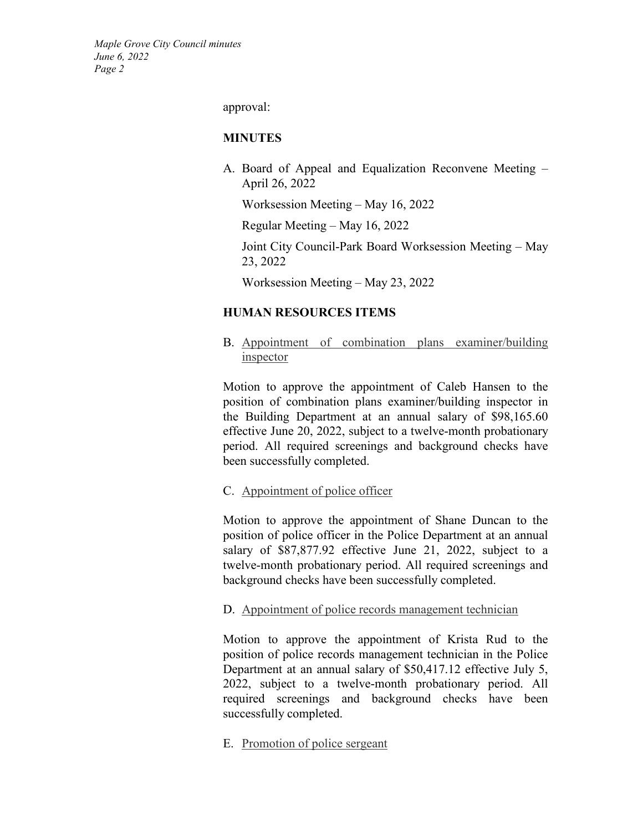approval:

#### **MINUTES**

A. Board of Appeal and Equalization Reconvene Meeting – April 26, 2022

Worksession Meeting – May 16, 2022

Regular Meeting – May 16, 2022

Joint City Council-Park Board Worksession Meeting – May 23, 2022

Worksession Meeting – May 23, 2022

## **HUMAN RESOURCES ITEMS**

B. Appointment of combination plans examiner/building inspector

Motion to approve the appointment of Caleb Hansen to the position of combination plans examiner/building inspector in the Building Department at an annual salary of \$98,165.60 effective June 20, 2022, subject to a twelve-month probationary period. All required screenings and background checks have been successfully completed.

## C. Appointment of police officer

Motion to approve the appointment of Shane Duncan to the position of police officer in the Police Department at an annual salary of \$87,877.92 effective June 21, 2022, subject to a twelve-month probationary period. All required screenings and background checks have been successfully completed.

D. Appointment of police records management technician

Motion to approve the appointment of Krista Rud to the position of police records management technician in the Police Department at an annual salary of \$50,417.12 effective July 5, 2022, subject to a twelve-month probationary period. All required screenings and background checks have been successfully completed.

E. Promotion of police sergeant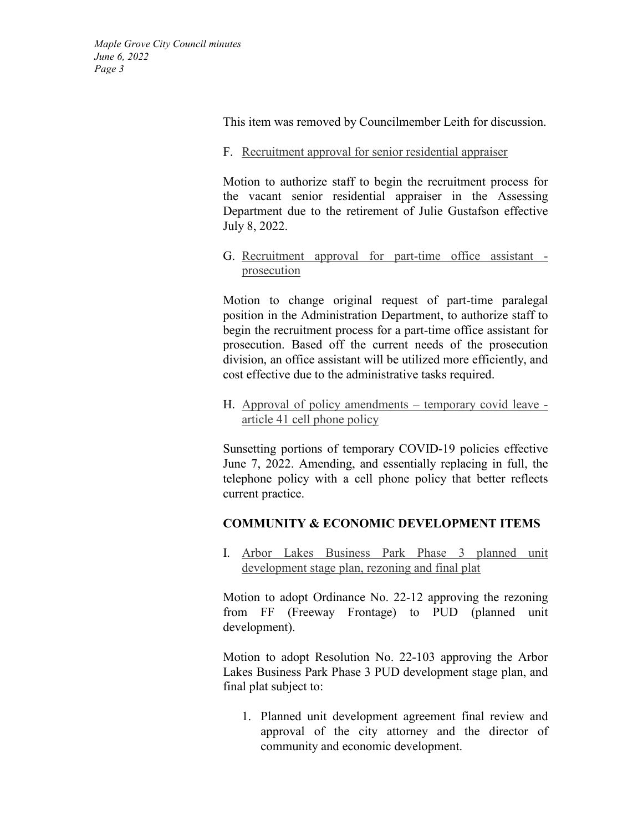This item was removed by Councilmember Leith for discussion.

F. Recruitment approval for senior residential appraiser

Motion to authorize staff to begin the recruitment process for the vacant senior residential appraiser in the Assessing Department due to the retirement of Julie Gustafson effective July 8, 2022.

G. Recruitment approval for part-time office assistant prosecution

Motion to change original request of part-time paralegal position in the Administration Department, to authorize staff to begin the recruitment process for a part-time office assistant for prosecution. Based off the current needs of the prosecution division, an office assistant will be utilized more efficiently, and cost effective due to the administrative tasks required.

H. Approval of policy amendments – temporary covid leave article 41 cell phone policy

Sunsetting portions of temporary COVID-19 policies effective June 7, 2022. Amending, and essentially replacing in full, the telephone policy with a cell phone policy that better reflects current practice.

## **COMMUNITY & ECONOMIC DEVELOPMENT ITEMS**

I. Arbor Lakes Business Park Phase 3 planned unit development stage plan, rezoning and final plat

Motion to adopt Ordinance No. 22-12 approving the rezoning from FF (Freeway Frontage) to PUD (planned unit development).

Motion to adopt Resolution No. 22-103 approving the Arbor Lakes Business Park Phase 3 PUD development stage plan, and final plat subject to:

1. Planned unit development agreement final review and approval of the city attorney and the director of community and economic development.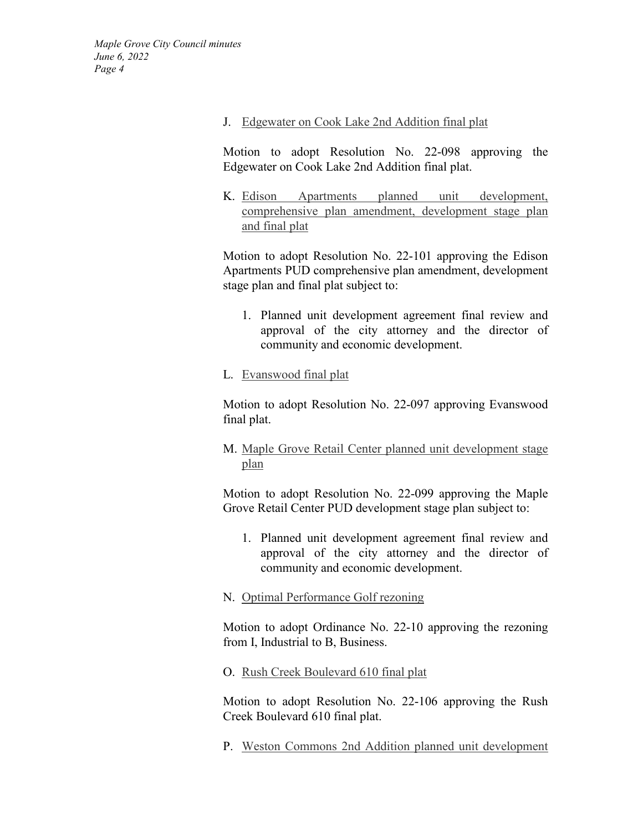J. Edgewater on Cook Lake 2nd Addition final plat

Motion to adopt Resolution No. 22-098 approving the Edgewater on Cook Lake 2nd Addition final plat.

K. Edison Apartments planned unit development, comprehensive plan amendment, development stage plan and final plat

Motion to adopt Resolution No. 22-101 approving the Edison Apartments PUD comprehensive plan amendment, development stage plan and final plat subject to:

- 1. Planned unit development agreement final review and approval of the city attorney and the director of community and economic development.
- L. Evanswood final plat

Motion to adopt Resolution No. 22-097 approving Evanswood final plat.

M. Maple Grove Retail Center planned unit development stage plan

Motion to adopt Resolution No. 22-099 approving the Maple Grove Retail Center PUD development stage plan subject to:

- 1. Planned unit development agreement final review and approval of the city attorney and the director of community and economic development.
- N. Optimal Performance Golf rezoning

Motion to adopt Ordinance No. 22-10 approving the rezoning from I, Industrial to B, Business.

O. Rush Creek Boulevard 610 final plat

Motion to adopt Resolution No. 22-106 approving the Rush Creek Boulevard 610 final plat.

P. Weston Commons 2nd Addition planned unit development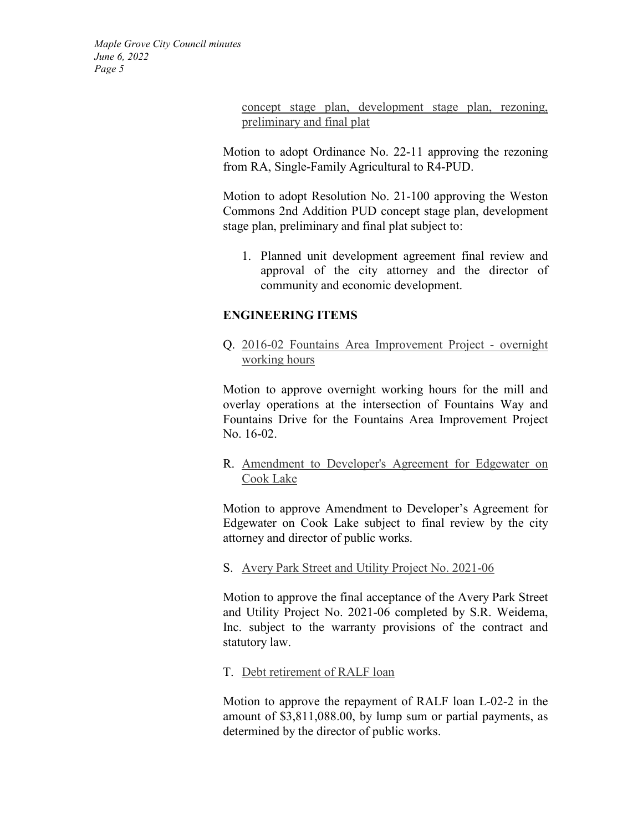> concept stage plan, development stage plan, rezoning, preliminary and final plat

Motion to adopt Ordinance No. 22-11 approving the rezoning from RA, Single-Family Agricultural to R4-PUD.

Motion to adopt Resolution No. 21-100 approving the Weston Commons 2nd Addition PUD concept stage plan, development stage plan, preliminary and final plat subject to:

1. Planned unit development agreement final review and approval of the city attorney and the director of community and economic development.

## **ENGINEERING ITEMS**

Q. 2016-02 Fountains Area Improvement Project - overnight working hours

Motion to approve overnight working hours for the mill and overlay operations at the intersection of Fountains Way and Fountains Drive for the Fountains Area Improvement Project No. 16-02.

R. Amendment to Developer's Agreement for Edgewater on Cook Lake

Motion to approve Amendment to Developer's Agreement for Edgewater on Cook Lake subject to final review by the city attorney and director of public works.

#### S. Avery Park Street and Utility Project No. 2021-06

Motion to approve the final acceptance of the Avery Park Street and Utility Project No. 2021-06 completed by S.R. Weidema, Inc. subject to the warranty provisions of the contract and statutory law.

#### T. Debt retirement of RALF loan

Motion to approve the repayment of RALF loan L-02-2 in the amount of \$3,811,088.00, by lump sum or partial payments, as determined by the director of public works.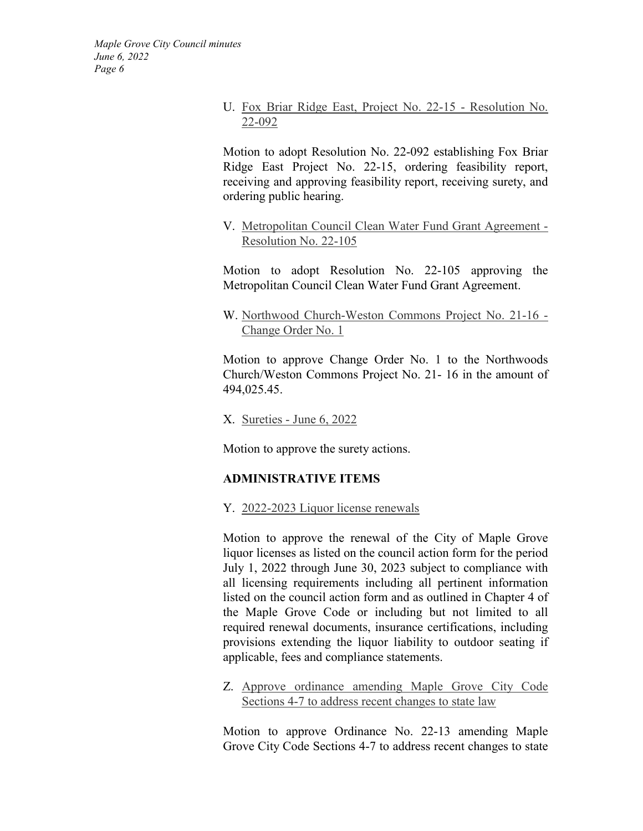> U. Fox Briar Ridge East, Project No. 22-15 - Resolution No. 22-092

> Motion to adopt Resolution No. 22-092 establishing Fox Briar Ridge East Project No. 22-15, ordering feasibility report, receiving and approving feasibility report, receiving surety, and ordering public hearing.

> V. Metropolitan Council Clean Water Fund Grant Agreement - Resolution No. 22-105

> Motion to adopt Resolution No. 22-105 approving the Metropolitan Council Clean Water Fund Grant Agreement.

> W. Northwood Church-Weston Commons Project No. 21-16 - Change Order No. 1

> Motion to approve Change Order No. 1 to the Northwoods Church/Weston Commons Project No. 21- 16 in the amount of 494,025.45.

X. Sureties - June 6, 2022

Motion to approve the surety actions.

## **ADMINISTRATIVE ITEMS**

#### Y. 2022-2023 Liquor license renewals

Motion to approve the renewal of the City of Maple Grove liquor licenses as listed on the council action form for the period July 1, 2022 through June 30, 2023 subject to compliance with all licensing requirements including all pertinent information listed on the council action form and as outlined in Chapter 4 of the Maple Grove Code or including but not limited to all required renewal documents, insurance certifications, including provisions extending the liquor liability to outdoor seating if applicable, fees and compliance statements.

Z. Approve ordinance amending Maple Grove City Code Sections 4-7 to address recent changes to state law

Motion to approve Ordinance No. 22-13 amending Maple Grove City Code Sections 4-7 to address recent changes to state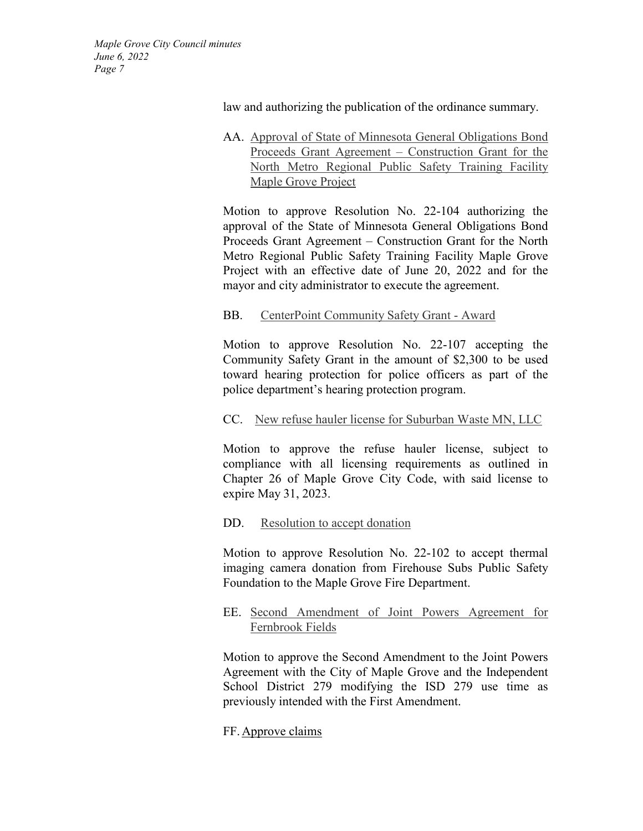law and authorizing the publication of the ordinance summary.

AA. Approval of State of Minnesota General Obligations Bond Proceeds Grant Agreement – Construction Grant for the North Metro Regional Public Safety Training Facility Maple Grove Project

Motion to approve Resolution No. 22-104 authorizing the approval of the State of Minnesota General Obligations Bond Proceeds Grant Agreement – Construction Grant for the North Metro Regional Public Safety Training Facility Maple Grove Project with an effective date of June 20, 2022 and for the mayor and city administrator to execute the agreement.

#### BB. CenterPoint Community Safety Grant - Award

Motion to approve Resolution No. 22-107 accepting the Community Safety Grant in the amount of \$2,300 to be used toward hearing protection for police officers as part of the police department's hearing protection program.

### CC. New refuse hauler license for Suburban Waste MN, LLC

Motion to approve the refuse hauler license, subject to compliance with all licensing requirements as outlined in Chapter 26 of Maple Grove City Code, with said license to expire May 31, 2023.

#### DD. Resolution to accept donation

Motion to approve Resolution No. 22-102 to accept thermal imaging camera donation from Firehouse Subs Public Safety Foundation to the Maple Grove Fire Department.

#### EE. Second Amendment of Joint Powers Agreement for Fernbrook Fields

Motion to approve the Second Amendment to the Joint Powers Agreement with the City of Maple Grove and the Independent School District 279 modifying the ISD 279 use time as previously intended with the First Amendment.

## FF. Approve claims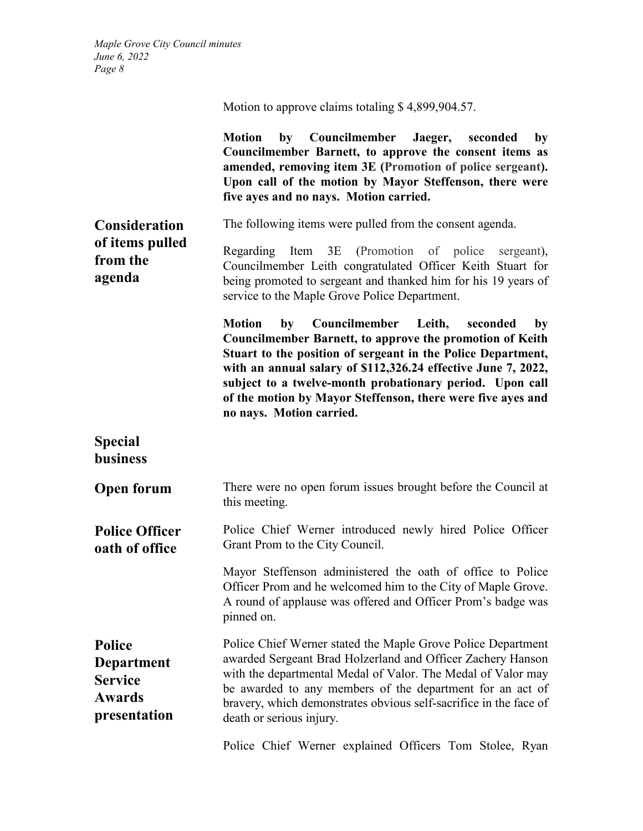Motion to approve claims totaling \$ 4,899,904.57.

|                                                                                       | by Councilmember Jaeger, seconded<br>Motion<br>by<br>Councilmember Barnett, to approve the consent items as<br>amended, removing item 3E (Promotion of police sergeant).<br>Upon call of the motion by Mayor Steffenson, there were<br>five ayes and no nays. Motion carried.                                                                                                                                        |
|---------------------------------------------------------------------------------------|----------------------------------------------------------------------------------------------------------------------------------------------------------------------------------------------------------------------------------------------------------------------------------------------------------------------------------------------------------------------------------------------------------------------|
| <b>Consideration</b><br>of items pulled<br>from the<br>agenda                         | The following items were pulled from the consent agenda.                                                                                                                                                                                                                                                                                                                                                             |
|                                                                                       | Regarding Item 3E (Promotion of police sergeant),<br>Councilmember Leith congratulated Officer Keith Stuart for<br>being promoted to sergeant and thanked him for his 19 years of<br>service to the Maple Grove Police Department.                                                                                                                                                                                   |
|                                                                                       | Councilmember<br><b>Motion</b><br>by<br>Leith,<br>seconded<br>by<br>Councilmember Barnett, to approve the promotion of Keith<br>Stuart to the position of sergeant in the Police Department,<br>with an annual salary of \$112,326.24 effective June 7, 2022,<br>subject to a twelve-month probationary period. Upon call<br>of the motion by Mayor Steffenson, there were five ayes and<br>no nays. Motion carried. |
| <b>Special</b><br><b>business</b>                                                     |                                                                                                                                                                                                                                                                                                                                                                                                                      |
| <b>Open forum</b>                                                                     | There were no open forum issues brought before the Council at<br>this meeting.                                                                                                                                                                                                                                                                                                                                       |
| <b>Police Officer</b><br>oath of office                                               | Police Chief Werner introduced newly hired Police Officer<br>Grant Prom to the City Council.                                                                                                                                                                                                                                                                                                                         |
|                                                                                       | Mayor Steffenson administered the oath of office to Police<br>Officer Prom and he welcomed him to the City of Maple Grove.<br>A round of applause was offered and Officer Prom's badge was<br>pinned on.                                                                                                                                                                                                             |
| <b>Police</b><br><b>Department</b><br><b>Service</b><br><b>Awards</b><br>presentation | Police Chief Werner stated the Maple Grove Police Department<br>awarded Sergeant Brad Holzerland and Officer Zachery Hanson<br>with the departmental Medal of Valor. The Medal of Valor may<br>be awarded to any members of the department for an act of<br>bravery, which demonstrates obvious self-sacrifice in the face of<br>death or serious injury.                                                            |
|                                                                                       | Police Chief Werner explained Officers Tom Stolee, Ryan                                                                                                                                                                                                                                                                                                                                                              |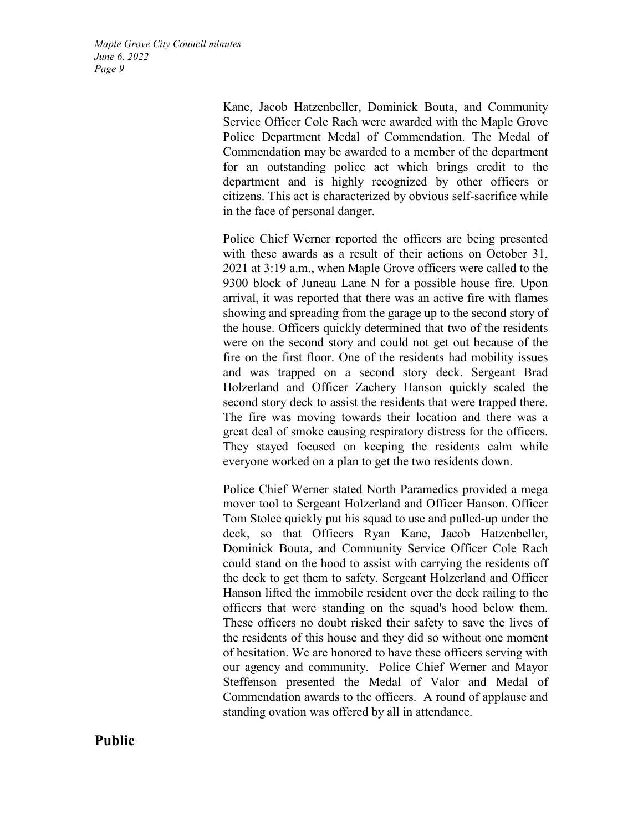> Kane, Jacob Hatzenbeller, Dominick Bouta, and Community Service Officer Cole Rach were awarded with the Maple Grove Police Department Medal of Commendation. The Medal of Commendation may be awarded to a member of the department for an outstanding police act which brings credit to the department and is highly recognized by other officers or citizens. This act is characterized by obvious self-sacrifice while in the face of personal danger.

> Police Chief Werner reported the officers are being presented with these awards as a result of their actions on October 31, 2021 at 3:19 a.m., when Maple Grove officers were called to the 9300 block of Juneau Lane N for a possible house fire. Upon arrival, it was reported that there was an active fire with flames showing and spreading from the garage up to the second story of the house. Officers quickly determined that two of the residents were on the second story and could not get out because of the fire on the first floor. One of the residents had mobility issues and was trapped on a second story deck. Sergeant Brad Holzerland and Officer Zachery Hanson quickly scaled the second story deck to assist the residents that were trapped there. The fire was moving towards their location and there was a great deal of smoke causing respiratory distress for the officers. They stayed focused on keeping the residents calm while everyone worked on a plan to get the two residents down.

> Police Chief Werner stated North Paramedics provided a mega mover tool to Sergeant Holzerland and Officer Hanson. Officer Tom Stolee quickly put his squad to use and pulled-up under the deck, so that Officers Ryan Kane, Jacob Hatzenbeller, Dominick Bouta, and Community Service Officer Cole Rach could stand on the hood to assist with carrying the residents off the deck to get them to safety. Sergeant Holzerland and Officer Hanson lifted the immobile resident over the deck railing to the officers that were standing on the squad's hood below them. These officers no doubt risked their safety to save the lives of the residents of this house and they did so without one moment of hesitation. We are honored to have these officers serving with our agency and community. Police Chief Werner and Mayor Steffenson presented the Medal of Valor and Medal of Commendation awards to the officers. A round of applause and standing ovation was offered by all in attendance.

**Public**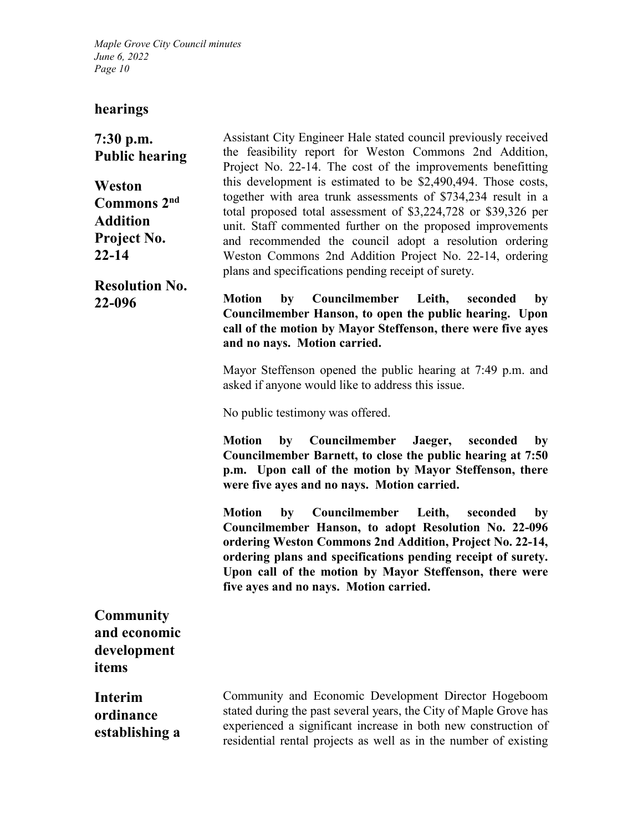## **hearings**

**7:30 p.m. Public hearing Weston Commons 2nd Addition Project No. 22-14 Resolution No. 22-096** Assistant City Engineer Hale stated council previously received the feasibility report for Weston Commons 2nd Addition, Project No. 22-14. The cost of the improvements benefitting this development is estimated to be \$2,490,494. Those costs, together with area trunk assessments of \$734,234 result in a total proposed total assessment of \$3,224,728 or \$39,326 per unit. Staff commented further on the proposed improvements and recommended the council adopt a resolution ordering Weston Commons 2nd Addition Project No. 22-14, ordering plans and specifications pending receipt of surety. **Motion by Councilmember Leith, seconded by Councilmember Hanson, to open the public hearing. Upon call of the motion by Mayor Steffenson, there were five ayes and no nays. Motion carried.** Mayor Steffenson opened the public hearing at 7:49 p.m. and asked if anyone would like to address this issue. No public testimony was offered. **Motion by Councilmember Jaeger, seconded by Councilmember Barnett, to close the public hearing at 7:50 p.m. Upon call of the motion by Mayor Steffenson, there were five ayes and no nays. Motion carried. Motion by Councilmember Leith, seconded by Councilmember Hanson, to adopt Resolution No. 22-096 ordering Weston Commons 2nd Addition, Project No. 22-14, ordering plans and specifications pending receipt of surety. Upon call of the motion by Mayor Steffenson, there were five ayes and no nays. Motion carried. Community and economic development items Interim ordinance establishing a**  Community and Economic Development Director Hogeboom stated during the past several years, the City of Maple Grove has experienced a significant increase in both new construction of residential rental projects as well as in the number of existing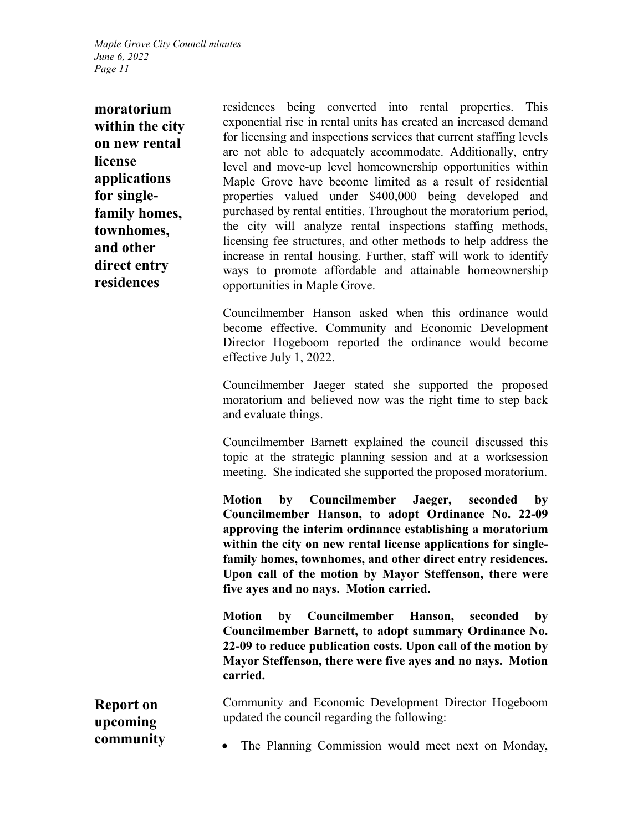**moratorium within the city on new rental license applications for singlefamily homes, townhomes, and other direct entry residences**

residences being converted into rental properties. This exponential rise in rental units has created an increased demand for licensing and inspections services that current staffing levels are not able to adequately accommodate. Additionally, entry level and move-up level homeownership opportunities within Maple Grove have become limited as a result of residential properties valued under \$400,000 being developed and purchased by rental entities. Throughout the moratorium period, the city will analyze rental inspections staffing methods, licensing fee structures, and other methods to help address the increase in rental housing. Further, staff will work to identify ways to promote affordable and attainable homeownership opportunities in Maple Grove.

Councilmember Hanson asked when this ordinance would become effective. Community and Economic Development Director Hogeboom reported the ordinance would become effective July 1, 2022.

Councilmember Jaeger stated she supported the proposed moratorium and believed now was the right time to step back and evaluate things.

Councilmember Barnett explained the council discussed this topic at the strategic planning session and at a worksession meeting. She indicated she supported the proposed moratorium.

**Motion by Councilmember Jaeger, seconded by Councilmember Hanson, to adopt Ordinance No. 22-09 approving the interim ordinance establishing a moratorium within the city on new rental license applications for singlefamily homes, townhomes, and other direct entry residences. Upon call of the motion by Mayor Steffenson, there were five ayes and no nays. Motion carried.**

**Motion by Councilmember Hanson, seconded by Councilmember Barnett, to adopt summary Ordinance No. 22-09 to reduce publication costs. Upon call of the motion by Mayor Steffenson, there were five ayes and no nays. Motion carried.**

Community and Economic Development Director Hogeboom updated the council regarding the following:

**upcoming community** 

**Report on** 

• The Planning Commission would meet next on Monday,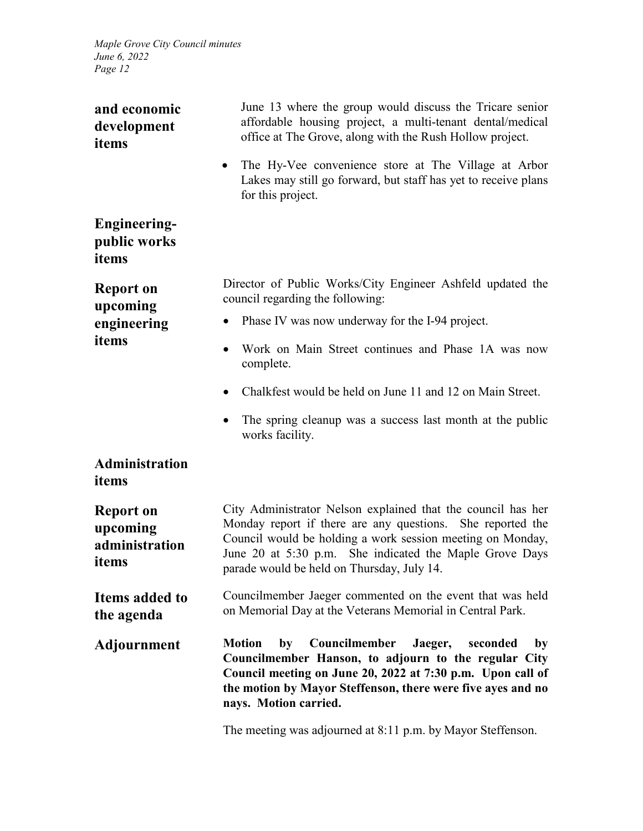| and economic<br>development<br>items                    | June 13 where the group would discuss the Tricare senior<br>affordable housing project, a multi-tenant dental/medical<br>office at The Grove, along with the Rush Hollow project.<br>The Hy-Vee convenience store at The Village at Arbor<br>$\bullet$                                            |
|---------------------------------------------------------|---------------------------------------------------------------------------------------------------------------------------------------------------------------------------------------------------------------------------------------------------------------------------------------------------|
|                                                         | Lakes may still go forward, but staff has yet to receive plans<br>for this project.                                                                                                                                                                                                               |
| <b>Engineering-</b><br>public works<br>items            |                                                                                                                                                                                                                                                                                                   |
| <b>Report on</b><br>upcoming                            | Director of Public Works/City Engineer Ashfeld updated the<br>council regarding the following:                                                                                                                                                                                                    |
| engineering                                             | Phase IV was now underway for the I-94 project.                                                                                                                                                                                                                                                   |
| items                                                   | Work on Main Street continues and Phase 1A was now<br>complete.                                                                                                                                                                                                                                   |
|                                                         | Chalkfest would be held on June 11 and 12 on Main Street.                                                                                                                                                                                                                                         |
|                                                         | The spring cleanup was a success last month at the public<br>works facility.                                                                                                                                                                                                                      |
| Administration<br>items                                 |                                                                                                                                                                                                                                                                                                   |
| <b>Report on</b><br>upcoming<br>administration<br>items | City Administrator Nelson explained that the council has her<br>Monday report if there are any questions. She reported the<br>Council would be holding a work session meeting on Monday,<br>June 20 at 5:30 p.m. She indicated the Maple Grove Days<br>parade would be held on Thursday, July 14. |
| Items added to<br>the agenda                            | Councilmember Jaeger commented on the event that was held<br>on Memorial Day at the Veterans Memorial in Central Park.                                                                                                                                                                            |
| Adjournment                                             | Councilmember<br><b>Motion</b><br>Jaeger,<br>by<br>seconded<br>by<br>Councilmember Hanson, to adjourn to the regular City<br>Council meeting on June 20, 2022 at 7:30 p.m. Upon call of<br>the motion by Mayor Steffenson, there were five ayes and no<br>nays. Motion carried.                   |

The meeting was adjourned at 8:11 p.m. by Mayor Steffenson.